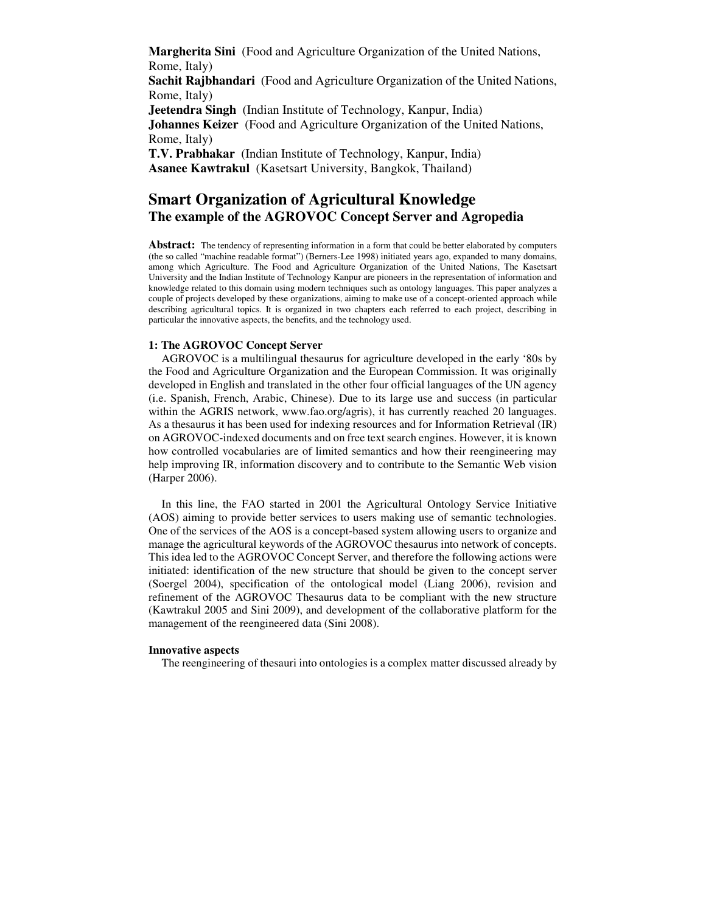**Margherita Sini** (Food and Agriculture Organization of the United Nations, Rome, Italy)

**Sachit Rajbhandari** (Food and Agriculture Organization of the United Nations, Rome, Italy)

**Jeetendra Singh** (Indian Institute of Technology, Kanpur, India) **Johannes Keizer** (Food and Agriculture Organization of the United Nations, Rome, Italy)

**T.V. Prabhakar** (Indian Institute of Technology, Kanpur, India) **Asanee Kawtrakul** (Kasetsart University, Bangkok, Thailand)

# **Smart Organization of Agricultural Knowledge The example of the AGROVOC Concept Server and Agropedia**

Abstract: The tendency of representing information in a form that could be better elaborated by computers (the so called "machine readable format") (Berners-Lee 1998) initiated years ago, expanded to many domains, among which Agriculture. The Food and Agriculture Organization of the United Nations, The Kasetsart University and the Indian Institute of Technology Kanpur are pioneers in the representation of information and knowledge related to this domain using modern techniques such as ontology languages. This paper analyzes a couple of projects developed by these organizations, aiming to make use of a concept-oriented approach while describing agricultural topics. It is organized in two chapters each referred to each project, describing in particular the innovative aspects, the benefits, and the technology used.

# **1: The AGROVOC Concept Server**

AGROVOC is a multilingual thesaurus for agriculture developed in the early '80s by the Food and Agriculture Organization and the European Commission. It was originally developed in English and translated in the other four official languages of the UN agency (i.e. Spanish, French, Arabic, Chinese). Due to its large use and success (in particular within the AGRIS network, www.fao.org/agris), it has currently reached 20 languages. As a thesaurus it has been used for indexing resources and for Information Retrieval (IR) on AGROVOC-indexed documents and on free text search engines. However, it is known how controlled vocabularies are of limited semantics and how their reengineering may help improving IR, information discovery and to contribute to the Semantic Web vision (Harper 2006).

In this line, the FAO started in 2001 the Agricultural Ontology Service Initiative (AOS) aiming to provide better services to users making use of semantic technologies. One of the services of the AOS is a concept-based system allowing users to organize and manage the agricultural keywords of the AGROVOC thesaurus into network of concepts. This idea led to the AGROVOC Concept Server, and therefore the following actions were initiated: identification of the new structure that should be given to the concept server (Soergel 2004), specification of the ontological model (Liang 2006), revision and refinement of the AGROVOC Thesaurus data to be compliant with the new structure (Kawtrakul 2005 and Sini 2009), and development of the collaborative platform for the management of the reengineered data (Sini 2008).

## **Innovative aspects**

The reengineering of thesauri into ontologies is a complex matter discussed already by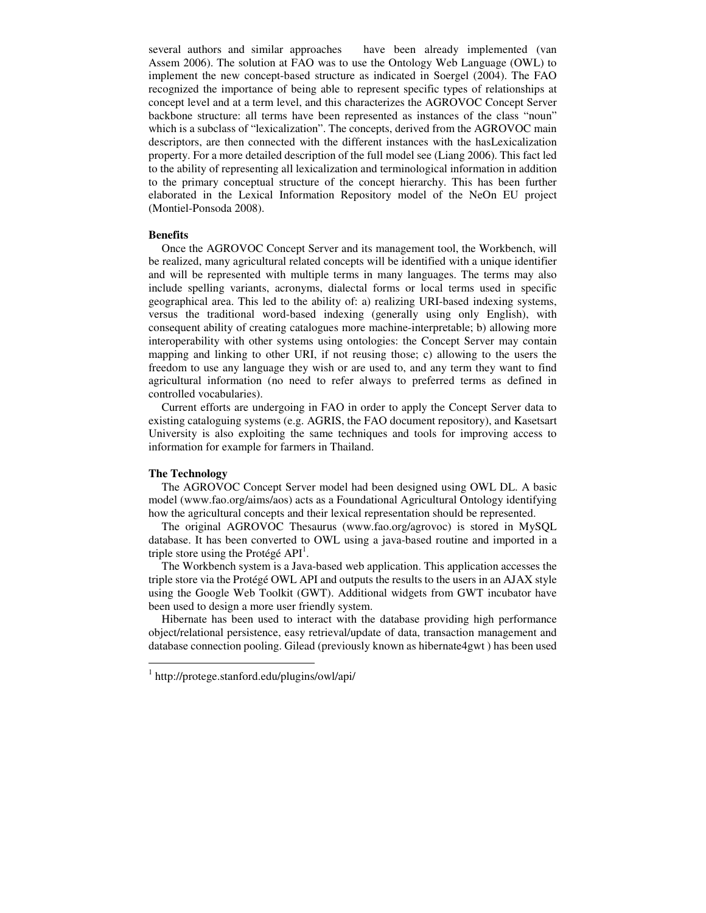several authors and similar approaches have been already implemented (van Assem 2006). The solution at FAO was to use the Ontology Web Language (OWL) to implement the new concept-based structure as indicated in Soergel (2004). The FAO recognized the importance of being able to represent specific types of relationships at concept level and at a term level, and this characterizes the AGROVOC Concept Server backbone structure: all terms have been represented as instances of the class "noun" which is a subclass of "lexicalization". The concepts, derived from the AGROVOC main descriptors, are then connected with the different instances with the hasLexicalization property. For a more detailed description of the full model see (Liang 2006). This fact led to the ability of representing all lexicalization and terminological information in addition to the primary conceptual structure of the concept hierarchy. This has been further elaborated in the Lexical Information Repository model of the NeOn EU project (Montiel-Ponsoda 2008).

# **Benefits**

Once the AGROVOC Concept Server and its management tool, the Workbench, will be realized, many agricultural related concepts will be identified with a unique identifier and will be represented with multiple terms in many languages. The terms may also include spelling variants, acronyms, dialectal forms or local terms used in specific geographical area. This led to the ability of: a) realizing URI-based indexing systems, versus the traditional word-based indexing (generally using only English), with consequent ability of creating catalogues more machine-interpretable; b) allowing more interoperability with other systems using ontologies: the Concept Server may contain mapping and linking to other URI, if not reusing those; c) allowing to the users the freedom to use any language they wish or are used to, and any term they want to find agricultural information (no need to refer always to preferred terms as defined in controlled vocabularies).

Current efforts are undergoing in FAO in order to apply the Concept Server data to existing cataloguing systems (e.g. AGRIS, the FAO document repository), and Kasetsart University is also exploiting the same techniques and tools for improving access to information for example for farmers in Thailand.

# **The Technology**

 $\overline{a}$ 

The AGROVOC Concept Server model had been designed using OWL DL. A basic model (www.fao.org/aims/aos) acts as a Foundational Agricultural Ontology identifying how the agricultural concepts and their lexical representation should be represented.

The original AGROVOC Thesaurus (www.fao.org/agrovoc) is stored in MySQL database. It has been converted to OWL using a java-based routine and imported in a triple store using the Protégé  $API<sup>1</sup>$ .

The Workbench system is a Java-based web application. This application accesses the triple store via the Protégé OWL API and outputs the results to the users in an AJAX style using the Google Web Toolkit (GWT). Additional widgets from GWT incubator have been used to design a more user friendly system.

Hibernate has been used to interact with the database providing high performance object/relational persistence, easy retrieval/update of data, transaction management and database connection pooling. Gilead (previously known as hibernate4gwt ) has been used

<sup>1</sup> http://protege.stanford.edu/plugins/owl/api/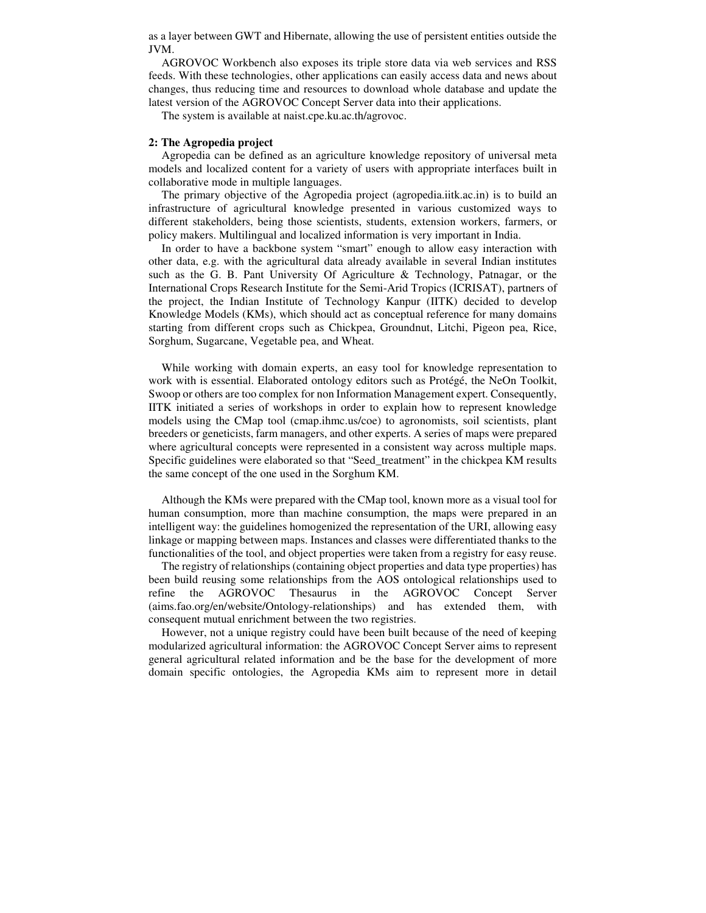as a layer between GWT and Hibernate, allowing the use of persistent entities outside the JVM.

AGROVOC Workbench also exposes its triple store data via web services and RSS feeds. With these technologies, other applications can easily access data and news about changes, thus reducing time and resources to download whole database and update the latest version of the AGROVOC Concept Server data into their applications.

The system is available at naist.cpe.ku.ac.th/agrovoc.

## **2: The Agropedia project**

Agropedia can be defined as an agriculture knowledge repository of universal meta models and localized content for a variety of users with appropriate interfaces built in collaborative mode in multiple languages.

The primary objective of the Agropedia project (agropedia.iitk.ac.in) is to build an infrastructure of agricultural knowledge presented in various customized ways to different stakeholders, being those scientists, students, extension workers, farmers, or policy makers. Multilingual and localized information is very important in India.

In order to have a backbone system "smart" enough to allow easy interaction with other data, e.g. with the agricultural data already available in several Indian institutes such as the G. B. Pant University Of Agriculture & Technology, Patnagar, or the International Crops Research Institute for the Semi-Arid Tropics (ICRISAT), partners of the project, the Indian Institute of Technology Kanpur (IITK) decided to develop Knowledge Models (KMs), which should act as conceptual reference for many domains starting from different crops such as Chickpea, Groundnut, Litchi, Pigeon pea, Rice, Sorghum, Sugarcane, Vegetable pea, and Wheat.

While working with domain experts, an easy tool for knowledge representation to work with is essential. Elaborated ontology editors such as Protégé, the NeOn Toolkit, Swoop or others are too complex for non Information Management expert. Consequently, IITK initiated a series of workshops in order to explain how to represent knowledge models using the CMap tool (cmap.ihmc.us/coe) to agronomists, soil scientists, plant breeders or geneticists, farm managers, and other experts. A series of maps were prepared where agricultural concepts were represented in a consistent way across multiple maps. Specific guidelines were elaborated so that "Seed\_treatment" in the chickpea KM results the same concept of the one used in the Sorghum KM.

Although the KMs were prepared with the CMap tool, known more as a visual tool for human consumption, more than machine consumption, the maps were prepared in an intelligent way: the guidelines homogenized the representation of the URI, allowing easy linkage or mapping between maps. Instances and classes were differentiated thanks to the functionalities of the tool, and object properties were taken from a registry for easy reuse.

The registry of relationships (containing object properties and data type properties) has been build reusing some relationships from the AOS ontological relationships used to refine the AGROVOC Thesaurus in the AGROVOC Concept Server (aims.fao.org/en/website/Ontology-relationships) and has extended them, with consequent mutual enrichment between the two registries.

However, not a unique registry could have been built because of the need of keeping modularized agricultural information: the AGROVOC Concept Server aims to represent general agricultural related information and be the base for the development of more domain specific ontologies, the Agropedia KMs aim to represent more in detail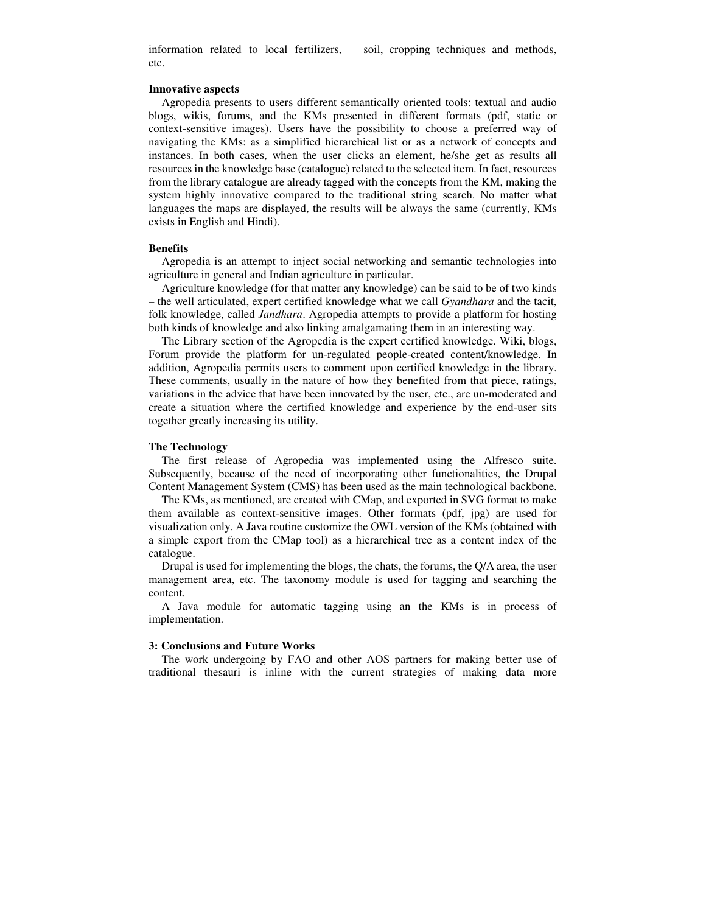information related to local fertilizers, soil, cropping techniques and methods, etc.

#### **Innovative aspects**

Agropedia presents to users different semantically oriented tools: textual and audio blogs, wikis, forums, and the KMs presented in different formats (pdf, static or context-sensitive images). Users have the possibility to choose a preferred way of navigating the KMs: as a simplified hierarchical list or as a network of concepts and instances. In both cases, when the user clicks an element, he/she get as results all resources in the knowledge base (catalogue) related to the selected item. In fact, resources from the library catalogue are already tagged with the concepts from the KM, making the system highly innovative compared to the traditional string search. No matter what languages the maps are displayed, the results will be always the same (currently, KMs exists in English and Hindi).

#### **Benefits**

Agropedia is an attempt to inject social networking and semantic technologies into agriculture in general and Indian agriculture in particular.

Agriculture knowledge (for that matter any knowledge) can be said to be of two kinds – the well articulated, expert certified knowledge what we call *Gyandhara* and the tacit, folk knowledge, called *Jandhara*. Agropedia attempts to provide a platform for hosting both kinds of knowledge and also linking amalgamating them in an interesting way.

The Library section of the Agropedia is the expert certified knowledge. Wiki, blogs, Forum provide the platform for un-regulated people-created content/knowledge. In addition, Agropedia permits users to comment upon certified knowledge in the library. These comments, usually in the nature of how they benefited from that piece, ratings, variations in the advice that have been innovated by the user, etc., are un-moderated and create a situation where the certified knowledge and experience by the end-user sits together greatly increasing its utility.

## **The Technology**

The first release of Agropedia was implemented using the Alfresco suite. Subsequently, because of the need of incorporating other functionalities, the Drupal Content Management System (CMS) has been used as the main technological backbone.

The KMs, as mentioned, are created with CMap, and exported in SVG format to make them available as context-sensitive images. Other formats (pdf, jpg) are used for visualization only. A Java routine customize the OWL version of the KMs (obtained with a simple export from the CMap tool) as a hierarchical tree as a content index of the catalogue.

Drupal is used for implementing the blogs, the chats, the forums, the Q/A area, the user management area, etc. The taxonomy module is used for tagging and searching the content.

A Java module for automatic tagging using an the KMs is in process of implementation.

### **3: Conclusions and Future Works**

The work undergoing by FAO and other AOS partners for making better use of traditional thesauri is inline with the current strategies of making data more